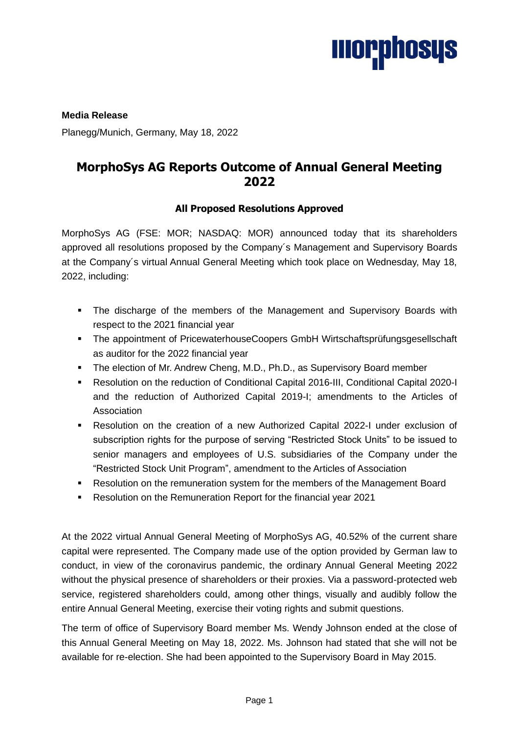

**Media Release** Planegg/Munich, Germany, May 18, 2022

# **MorphoSys AG Reports Outcome of Annual General Meeting 2022**

## **All Proposed Resolutions Approved**

MorphoSys AG (FSE: MOR; NASDAQ: MOR) announced today that its shareholders approved all resolutions proposed by the Company´s Management and Supervisory Boards at the Company´s virtual Annual General Meeting which took place on Wednesday, May 18, 2022, including:

- The discharge of the members of the Management and Supervisory Boards with respect to the 2021 financial year
- The appointment of PricewaterhouseCoopers GmbH Wirtschaftsprüfungsgesellschaft as auditor for the 2022 financial year
- The election of Mr. Andrew Cheng, M.D., Ph.D., as Supervisory Board member
- Resolution on the reduction of Conditional Capital 2016-III, Conditional Capital 2020-I and the reduction of Authorized Capital 2019-I; amendments to the Articles of Association
- Resolution on the creation of a new Authorized Capital 2022-I under exclusion of subscription rights for the purpose of serving "Restricted Stock Units" to be issued to senior managers and employees of U.S. subsidiaries of the Company under the "Restricted Stock Unit Program", amendment to the Articles of Association
- Resolution on the remuneration system for the members of the Management Board
- Resolution on the Remuneration Report for the financial year 2021

At the 2022 virtual Annual General Meeting of MorphoSys AG, 40.52% of the current share capital were represented. The Company made use of the option provided by German law to conduct, in view of the coronavirus pandemic, the ordinary Annual General Meeting 2022 without the physical presence of shareholders or their proxies. Via a password-protected web service, registered shareholders could, among other things, visually and audibly follow the entire Annual General Meeting, exercise their voting rights and submit questions.

The term of office of Supervisory Board member Ms. Wendy Johnson ended at the close of this Annual General Meeting on May 18, 2022. Ms. Johnson had stated that she will not be available for re-election. She had been appointed to the Supervisory Board in May 2015.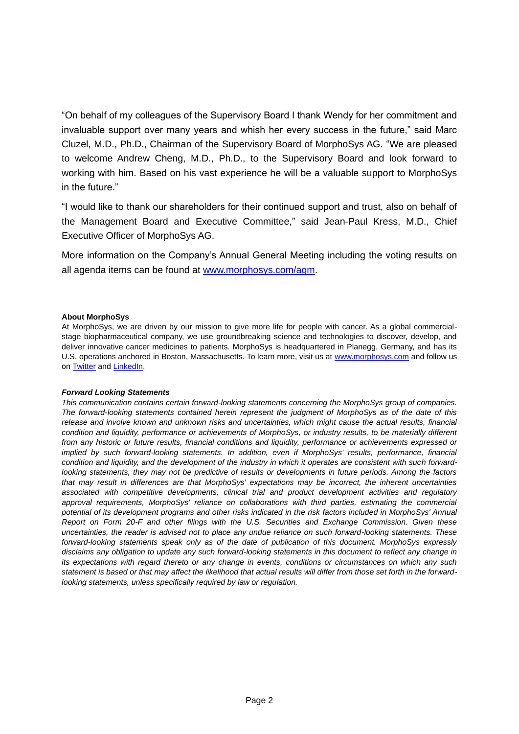"On behalf of my colleagues of the Supervisory Board I thank Wendy for her commitment and invaluable support over many years and whish her every success in the future," said Marc Cluzel, M.D., Ph.D., Chairman of the Supervisory Board of MorphoSys AG. "We are pleased to welcome Andrew Cheng, M.D., Ph.D., to the Supervisory Board and look forward to working with him. Based on his vast experience he will be a valuable support to MorphoSys in the future."

"I would like to thank our shareholders for their continued support and trust, also on behalf of the Management Board and Executive Committee," said Jean-Paul Kress, M.D., Chief Executive Officer of MorphoSys AG.

More information on the Company's Annual General Meeting including the voting results on all agenda items can be found at [www.morphosys.com/agm.](www.morphosys.com/agm)

#### **About MorphoSys**

At MorphoSys, we are driven by our mission to give more life for people with cancer. As a global commercialstage biopharmaceutical company, we use groundbreaking science and technologies to discover, develop, and deliver innovative cancer medicines to patients. MorphoSys is headquartered in Planegg, Germany, and has its U.S. operations anchored in Boston, Massachusetts. To learn more, visit us at [www.morphosys.com](http://www.morphosys.com/) and follow us on [Twitter](https://twitter.com/morphosys) and [LinkedIn.](https://www.linkedin.com/company/morphosys/)

#### *Forward Looking Statements*

*This communication contains certain forward-looking statements concerning the MorphoSys group of companies. The forward-looking statements contained herein represent the judgment of MorphoSys as of the date of this release and involve known and unknown risks and uncertainties, which might cause the actual results, financial condition and liquidity, performance or achievements of MorphoSys, or industry results, to be materially different from any historic or future results, financial conditions and liquidity, performance or achievements expressed or implied by such forward-looking statements. In addition, even if MorphoSys' results, performance, financial condition and liquidity, and the development of the industry in which it operates are consistent with such forwardlooking statements, they may not be predictive of results or developments in future periods. Among the factors that may result in differences are that MorphoSys' expectations may be incorrect, the inherent uncertainties associated with competitive developments, clinical trial and product development activities and regulatory approval requirements, MorphoSys' reliance on collaborations with third parties, estimating the commercial potential of its development programs and other risks indicated in the risk factors included in MorphoSys' Annual Report on Form 20-F and other filings with the U.S. Securities and Exchange Commission. Given these uncertainties, the reader is advised not to place any undue reliance on such forward-looking statements. These forward-looking statements speak only as of the date of publication of this document. MorphoSys expressly disclaims any obligation to update any such forward-looking statements in this document to reflect any change in its expectations with regard thereto or any change in events, conditions or circumstances on which any such statement is based or that may affect the likelihood that actual results will differ from those set forth in the forwardlooking statements, unless specifically required by law or regulation.*